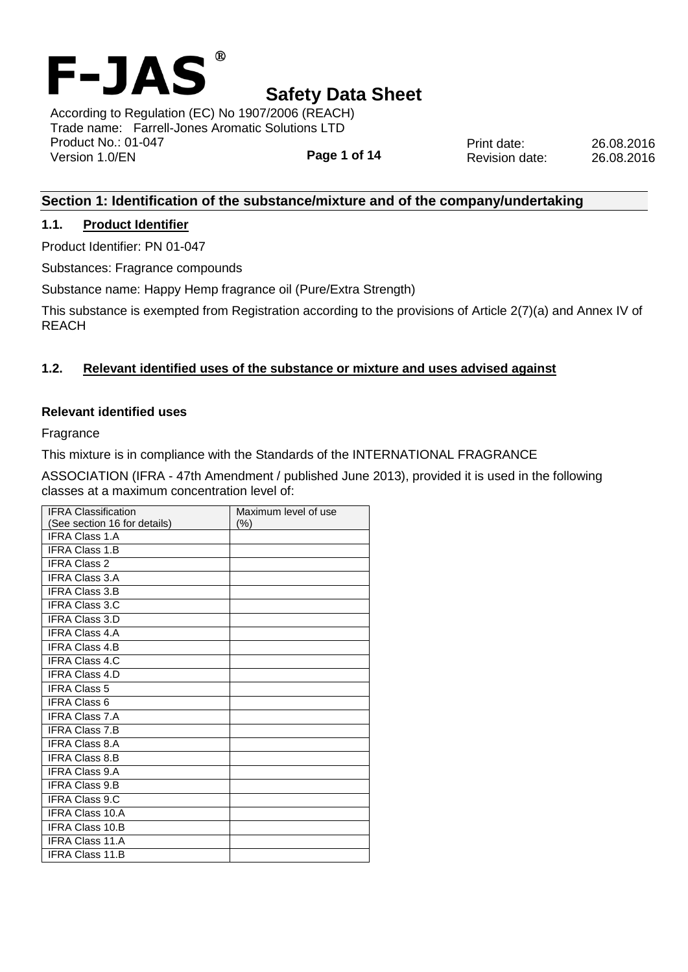

**Page 1 of 14** According to Regulation (EC) No 1907/2006 (REACH) Trade name: Farrell-Jones Aromatic Solutions LTD Product No.: 01-047 Version 1.0/EN

Print date: 26.08.2016 Revision date: 26.08.2016

## **Section 1: Identification of the substance/mixture and of the company/undertaking**

### **1.1. Product Identifier**

Product Identifier: PN 01-047

Substances: Fragrance compounds

Substance name: Happy Hemp fragrance oil (Pure/Extra Strength)

This substance is exempted from Registration according to the provisions of Article 2(7)(a) and Annex IV of REACH

## **1.2. Relevant identified uses of the substance or mixture and uses advised against**

#### **Relevant identified uses**

Fragrance

This mixture is in compliance with the Standards of the INTERNATIONAL FRAGRANCE

ASSOCIATION (IFRA - 47th Amendment / published June 2013), provided it is used in the following classes at a maximum concentration level of:

| <b>IFRA Classification</b>   | Maximum level of use |
|------------------------------|----------------------|
| (See section 16 for details) | $(\% )$              |
| <b>IFRA Class 1.A</b>        |                      |
| <b>IFRA Class 1.B</b>        |                      |
| <b>IFRA Class 2</b>          |                      |
| <b>IFRA Class 3.A</b>        |                      |
| <b>IFRA Class 3.B</b>        |                      |
| <b>IFRA Class 3.C</b>        |                      |
| <b>IFRA Class 3.D</b>        |                      |
| <b>IFRA Class 4.A</b>        |                      |
| <b>IFRA Class 4.B</b>        |                      |
| <b>IFRA Class 4.C</b>        |                      |
| <b>IFRA Class 4.D</b>        |                      |
| <b>IFRA Class 5</b>          |                      |
| <b>IFRA Class 6</b>          |                      |
| <b>IFRA Class 7.A</b>        |                      |
| <b>IFRA Class 7.B</b>        |                      |
| <b>IFRA Class 8.A</b>        |                      |
| <b>IFRA Class 8.B</b>        |                      |
| <b>IFRA Class 9.A</b>        |                      |
| <b>IFRA Class 9.B</b>        |                      |
| <b>IFRA Class 9.C</b>        |                      |
| <b>IFRA Class 10.A</b>       |                      |
| <b>IFRA Class 10.B</b>       |                      |
| <b>IFRA Class 11.A</b>       |                      |
| <b>IFRA Class 11.B</b>       |                      |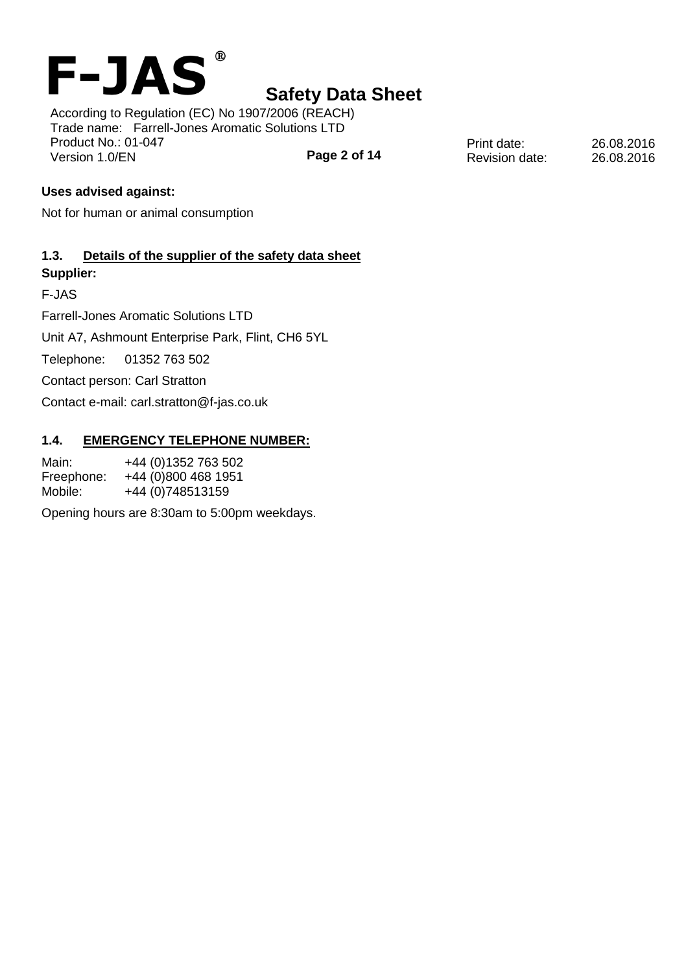

According to Regulation (EC) No 1907/2006 (REACH) Trade name: Farrell-Jones Aromatic Solutions LTD Product No.: 01-047 Version 1.0/EN

**Page 2 of 14**

Print date: 26.08.2016 Revision date: 26.08.2016

### **Uses advised against:**

Not for human or animal consumption

### **1.3. Details of the supplier of the safety data sheet Supplier:**

F-JAS

Farrell-Jones Aromatic Solutions LTD

Unit A7, Ashmount Enterprise Park, Flint, CH6 5YL

Telephone: 01352 763 502

Contact person: Carl Stratton

Contact e-mail: carl.stratton@f-jas.co.uk

#### **1.4. EMERGENCY TELEPHONE NUMBER:**

Main: +44 (0)1352 763 502 Freephone: +44 (0)800 468 1951 Mobile: +44 (0)748513159

Opening hours are 8:30am to 5:00pm weekdays.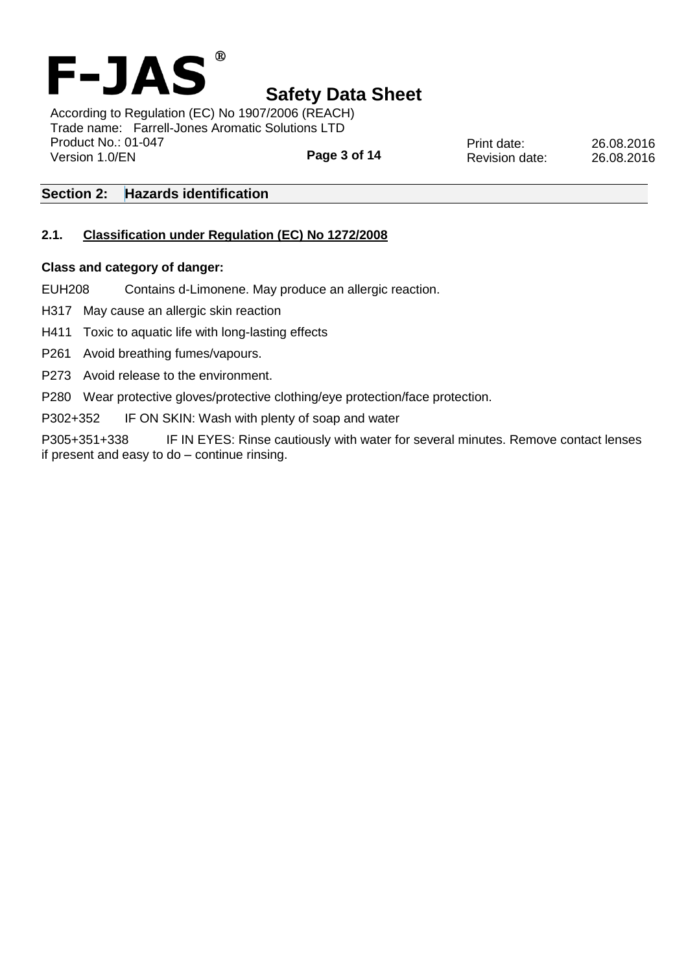

**Page 3 of 14** According to Regulation (EC) No 1907/2006 (REACH) Trade name: Farrell-Jones Aromatic Solutions LTD Product No.: 01-047 Version 1.0/EN

Print date: 26.08.2016 Revision date: 26.08.2016

### **Section 2: Hazards identification**

### **2.1. Classification under Regulation (EC) No 1272/2008**

#### **Class and category of danger:**

EUH208 Contains d-Limonene. May produce an allergic reaction.

H317 May cause an allergic skin reaction

H411 Toxic to aquatic life with long-lasting effects

P261 Avoid breathing fumes/vapours.

P273 Avoid release to the environment.

P280 Wear protective gloves/protective clothing/eye protection/face protection.

P302+352 IF ON SKIN: Wash with plenty of soap and water

P305+351+338 IF IN EYES: Rinse cautiously with water for several minutes. Remove contact lenses if present and easy to do – continue rinsing.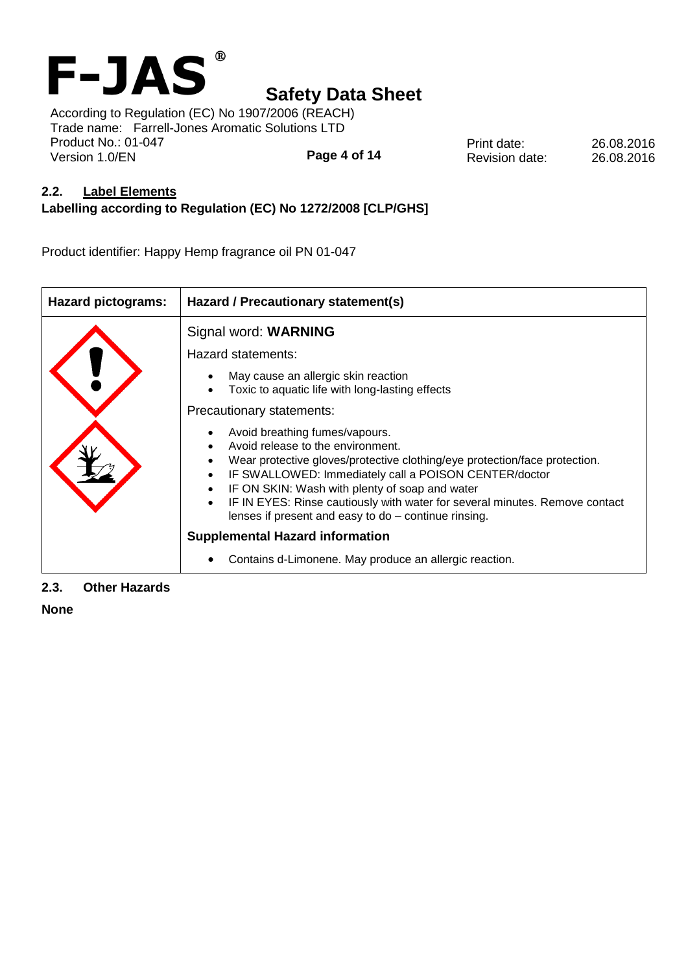

**Page 4 of 14** According to Regulation (EC) No 1907/2006 (REACH) Trade name: Farrell-Jones Aromatic Solutions LTD Product No.: 01-047 Version 1.0/EN

Print date: 26.08.2016 Revision date: 26.08.2016

#### **2.2. Label Elements**

### **Labelling according to Regulation (EC) No 1272/2008 [CLP/GHS]**

Product identifier: Happy Hemp fragrance oil PN 01-047

| <b>Hazard pictograms:</b> | Hazard / Precautionary statement(s)                                                                                                                                                                                                                                                                                                                                                                 |  |  |  |  |
|---------------------------|-----------------------------------------------------------------------------------------------------------------------------------------------------------------------------------------------------------------------------------------------------------------------------------------------------------------------------------------------------------------------------------------------------|--|--|--|--|
|                           | Signal word: WARNING                                                                                                                                                                                                                                                                                                                                                                                |  |  |  |  |
|                           | Hazard statements:                                                                                                                                                                                                                                                                                                                                                                                  |  |  |  |  |
|                           | May cause an allergic skin reaction<br>Toxic to aquatic life with long-lasting effects                                                                                                                                                                                                                                                                                                              |  |  |  |  |
|                           | Precautionary statements:                                                                                                                                                                                                                                                                                                                                                                           |  |  |  |  |
|                           | Avoid breathing fumes/vapours.<br>Avoid release to the environment.<br>Wear protective gloves/protective clothing/eye protection/face protection.<br>IF SWALLOWED: Immediately call a POISON CENTER/doctor<br>IF ON SKIN: Wash with plenty of soap and water<br>IF IN EYES: Rinse cautiously with water for several minutes. Remove contact<br>lenses if present and easy to do - continue rinsing. |  |  |  |  |
|                           | <b>Supplemental Hazard information</b>                                                                                                                                                                                                                                                                                                                                                              |  |  |  |  |
|                           | Contains d-Limonene. May produce an allergic reaction.                                                                                                                                                                                                                                                                                                                                              |  |  |  |  |

#### **2.3. Other Hazards**

**None**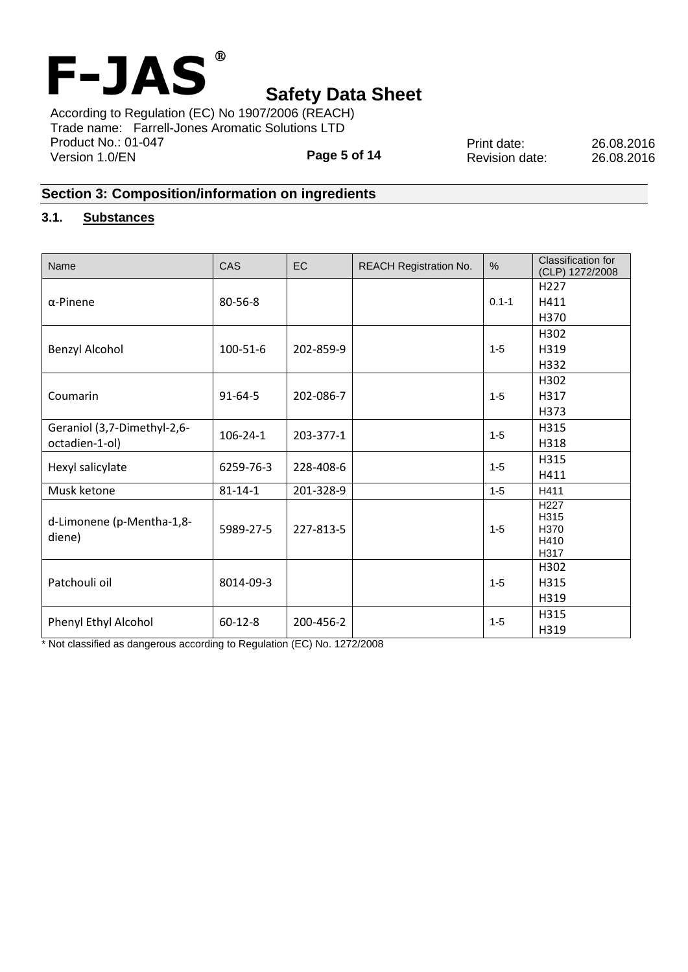

**Page 5 of 14** According to Regulation (EC) No 1907/2006 (REACH) Trade name: Farrell-Jones Aromatic Solutions LTD Product No.: 01-047 Version 1.0/EN

Print date: 26.08.2016 Revision date: 26.08.2016

## **Section 3: Composition/information on ingredients**

### **3.1. Substances**

| Name                                | CAS            | EC        | <b>REACH Registration No.</b> | %         | Classification for<br>(CLP) 1272/2008            |
|-------------------------------------|----------------|-----------|-------------------------------|-----------|--------------------------------------------------|
| $\alpha$ -Pinene                    | 80-56-8        |           |                               |           | H <sub>227</sub>                                 |
|                                     |                |           |                               | $0.1 - 1$ | H411                                             |
|                                     |                |           |                               |           | H370                                             |
|                                     | $100 - 51 - 6$ | 202-859-9 |                               |           | H302                                             |
| <b>Benzyl Alcohol</b>               |                |           |                               | $1 - 5$   | H319                                             |
|                                     |                |           |                               |           | H332                                             |
|                                     | $91 - 64 - 5$  | 202-086-7 |                               |           | H302                                             |
| Coumarin                            |                |           |                               | $1 - 5$   | H317                                             |
|                                     |                |           |                               |           | H373                                             |
| Geraniol (3,7-Dimethyl-2,6-         | $106 - 24 - 1$ | 203-377-1 |                               | $1 - 5$   | H315                                             |
| octadien-1-ol)                      |                |           |                               |           | H318                                             |
|                                     | 6259-76-3      | 228-408-6 |                               | $1 - 5$   | H315                                             |
| Hexyl salicylate                    |                |           |                               |           | H411                                             |
| Musk ketone                         | $81 - 14 - 1$  | 201-328-9 |                               | $1 - 5$   | H411                                             |
| d-Limonene (p-Mentha-1,8-<br>diene) | 5989-27-5      | 227-813-5 |                               | $1 - 5$   | H <sub>227</sub><br>H315<br>H370<br>H410<br>H317 |
| Patchouli oil                       | 8014-09-3      |           |                               |           | H302                                             |
|                                     |                |           |                               | $1 - 5$   | H315                                             |
|                                     |                |           |                               |           | H319                                             |
| Phenyl Ethyl Alcohol                | $60 - 12 - 8$  | 200-456-2 |                               | $1 - 5$   | H315                                             |
|                                     |                |           |                               |           | H319                                             |

\* Not classified as dangerous according to Regulation (EC) No. 1272/2008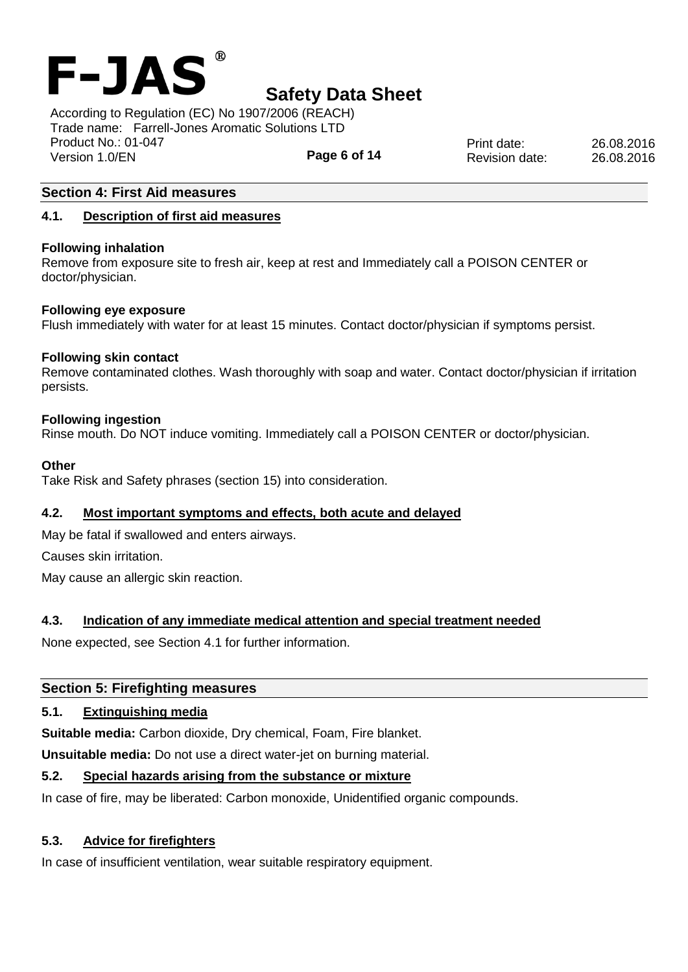

**Page 6 of 14** According to Regulation (EC) No 1907/2006 (REACH) Trade name: Farrell-Jones Aromatic Solutions LTD Product No.: 01-047 Version 1.0/EN

Print date: 26.08.2016 Revision date: 26.08.2016

### **Section 4: First Aid measures**

#### **4.1. Description of first aid measures**

#### **Following inhalation**

Remove from exposure site to fresh air, keep at rest and Immediately call a POISON CENTER or doctor/physician.

#### **Following eye exposure**

Flush immediately with water for at least 15 minutes. Contact doctor/physician if symptoms persist.

#### **Following skin contact**

Remove contaminated clothes. Wash thoroughly with soap and water. Contact doctor/physician if irritation persists.

#### **Following ingestion**

Rinse mouth. Do NOT induce vomiting. Immediately call a POISON CENTER or doctor/physician.

#### **Other**

Take Risk and Safety phrases (section 15) into consideration.

#### **4.2. Most important symptoms and effects, both acute and delayed**

May be fatal if swallowed and enters airways.

Causes skin irritation.

May cause an allergic skin reaction.

#### **4.3. Indication of any immediate medical attention and special treatment needed**

None expected, see Section 4.1 for further information.

#### **Section 5: Firefighting measures**

#### **5.1. Extinguishing media**

**Suitable media:** Carbon dioxide, Dry chemical, Foam, Fire blanket.

**Unsuitable media:** Do not use a direct water-jet on burning material.

## **5.2. Special hazards arising from the substance or mixture**

In case of fire, may be liberated: Carbon monoxide, Unidentified organic compounds.

### **5.3. Advice for firefighters**

In case of insufficient ventilation, wear suitable respiratory equipment.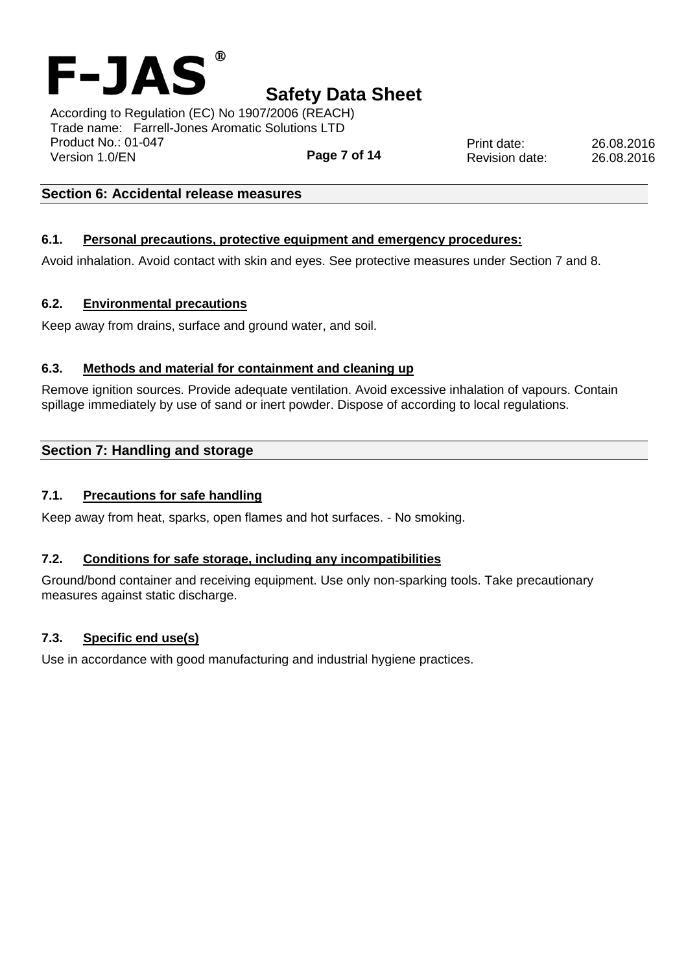

**Page 7 of 14** According to Regulation (EC) No 1907/2006 (REACH) Trade name: Farrell-Jones Aromatic Solutions LTD Product No.: 01-047 Version 1.0/EN

**Section 6: Accidental release measures**

#### **6.1. Personal precautions, protective equipment and emergency procedures:**

Avoid inhalation. Avoid contact with skin and eyes. See protective measures under Section 7 and 8.

#### **6.2. Environmental precautions**

Keep away from drains, surface and ground water, and soil.

#### **6.3. Methods and material for containment and cleaning up**

Remove ignition sources. Provide adequate ventilation. Avoid excessive inhalation of vapours. Contain spillage immediately by use of sand or inert powder. Dispose of according to local regulations.

#### **Section 7: Handling and storage**

#### **7.1. Precautions for safe handling**

Keep away from heat, sparks, open flames and hot surfaces. - No smoking.

#### **7.2. Conditions for safe storage, including any incompatibilities**

Ground/bond container and receiving equipment. Use only non-sparking tools. Take precautionary measures against static discharge.

#### **7.3. Specific end use(s)**

Use in accordance with good manufacturing and industrial hygiene practices.

Print date: 26.08.2016 Revision date: 26.08.2016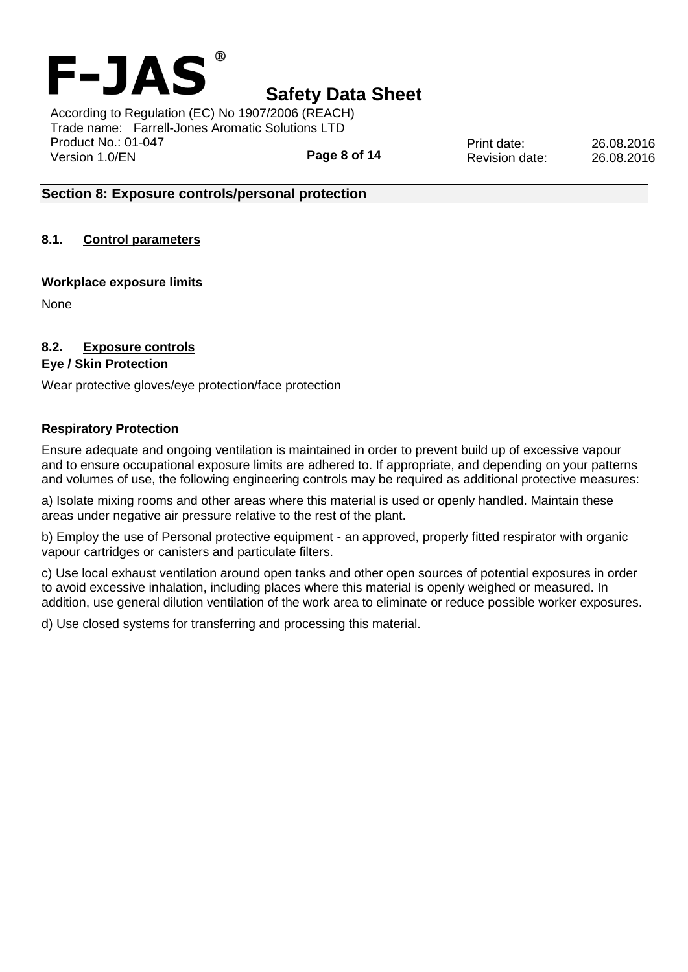

**Page 8 of 14** According to Regulation (EC) No 1907/2006 (REACH) Trade name: Farrell-Jones Aromatic Solutions LTD Product No.: 01-047 Version 1.0/EN

Print date: 26.08.2016 Revision date: 26.08.2016

### **Section 8: Exposure controls/personal protection**

**8.1. Control parameters**

#### **Workplace exposure limits**

None

### **8.2. Exposure controls**

#### **Eye / Skin Protection**

Wear protective gloves/eye protection/face protection

#### **Respiratory Protection**

Ensure adequate and ongoing ventilation is maintained in order to prevent build up of excessive vapour and to ensure occupational exposure limits are adhered to. If appropriate, and depending on your patterns and volumes of use, the following engineering controls may be required as additional protective measures:

a) Isolate mixing rooms and other areas where this material is used or openly handled. Maintain these areas under negative air pressure relative to the rest of the plant.

b) Employ the use of Personal protective equipment - an approved, properly fitted respirator with organic vapour cartridges or canisters and particulate filters.

c) Use local exhaust ventilation around open tanks and other open sources of potential exposures in order to avoid excessive inhalation, including places where this material is openly weighed or measured. In addition, use general dilution ventilation of the work area to eliminate or reduce possible worker exposures.

d) Use closed systems for transferring and processing this material.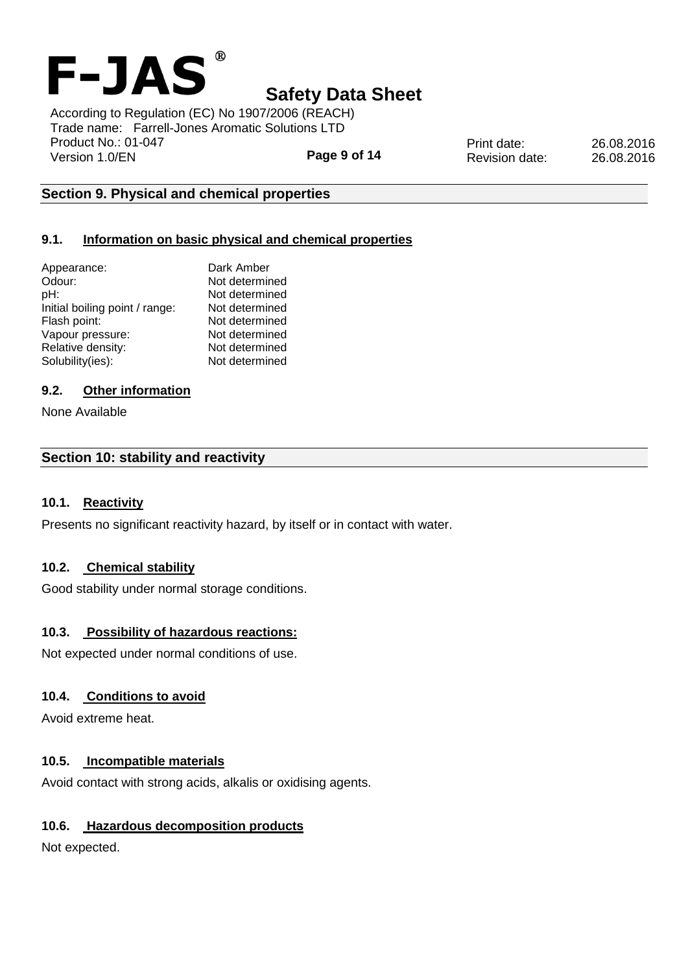

According to Regulation (EC) No 1907/2006 (REACH) Trade name: Farrell-Jones Aromatic Solutions LTD Product No.: 01-047 Version 1.0/EN

**Page 9 of 14**

Print date: 26.08.2016 Revision date: 26.08.2016

### **Section 9. Physical and chemical properties**

### **9.1. Information on basic physical and chemical properties**

| Appearance:                    | Dark Amber     |
|--------------------------------|----------------|
| Odour:                         | Not determined |
| pH:                            | Not determined |
| Initial boiling point / range: | Not determined |
| Flash point:                   | Not determined |
| Vapour pressure:               | Not determined |
| Relative density:              | Not determined |
| Solubility(ies):               | Not determined |
|                                |                |

#### **9.2. Other information**

None Available

#### **Section 10: stability and reactivity**

#### **10.1. Reactivity**

Presents no significant reactivity hazard, by itself or in contact with water.

#### **10.2. Chemical stability**

Good stability under normal storage conditions.

#### **10.3. Possibility of hazardous reactions:**

Not expected under normal conditions of use.

#### **10.4. Conditions to avoid**

Avoid extreme heat.

#### **10.5. Incompatible materials**

Avoid contact with strong acids, alkalis or oxidising agents.

#### **10.6. Hazardous decomposition products**

Not expected.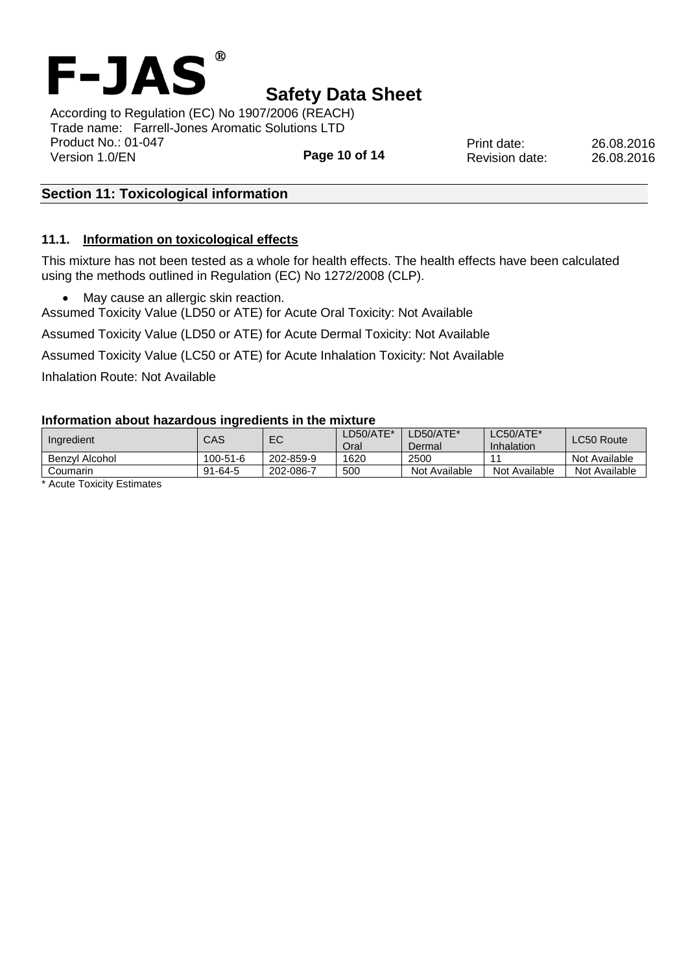

**Page 10 of 14** According to Regulation (EC) No 1907/2006 (REACH) Trade name: Farrell-Jones Aromatic Solutions LTD Product No.: 01-047 Version 1.0/EN

### **Section 11: Toxicological information**

#### **11.1. Information on toxicological effects**

This mixture has not been tested as a whole for health effects. The health effects have been calculated using the methods outlined in Regulation (EC) No 1272/2008 (CLP).

• May cause an allergic skin reaction.

Assumed Toxicity Value (LD50 or ATE) for Acute Oral Toxicity: Not Available

Assumed Toxicity Value (LD50 or ATE) for Acute Dermal Toxicity: Not Available

Assumed Toxicity Value (LC50 or ATE) for Acute Inhalation Toxicity: Not Available

Inhalation Route: Not Available

#### **Information about hazardous ingredients in the mixture**

| Ingredient                         | CAS            | EC        | LD50/ATE*<br>Oral | LD50/ATE*<br>Dermal | LC50/ATE*<br>Inhalation | LC50 Route    |
|------------------------------------|----------------|-----------|-------------------|---------------------|-------------------------|---------------|
| Benzvl Alcohol                     | $100 - 51 - 6$ | 202-859-9 | 1620              | 2500                |                         | Not Available |
| Coumarin                           | $91 - 64 - 5$  | 202-086-7 | 500               | Not Available       | Not Available           | Not Available |
| .<br>$\overline{\phantom{0}}$<br>A |                |           |                   |                     |                         |               |

\* Acute Toxicity Estimates

Print date: 26.08.2016 Revision date: 26.08.2016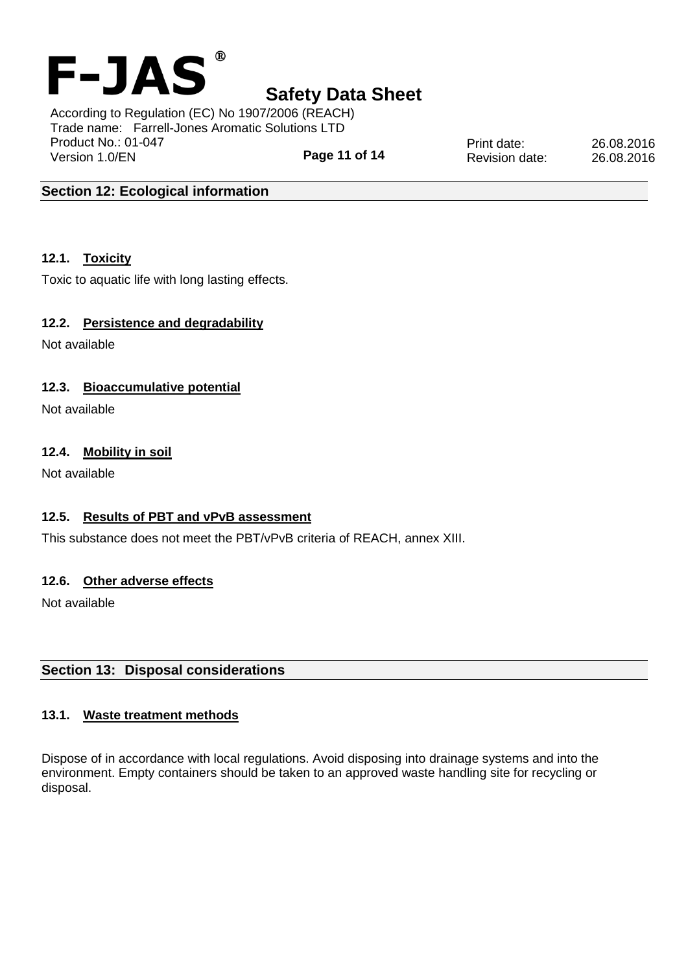

According to Regulation (EC) No 1907/2006 (REACH) Trade name: Farrell-Jones Aromatic Solutions LTD Product No.: 01-047 Version 1.0/EN

**Page 11 of 14**

Print date: 26.08.2016 Revision date: 26.08.2016

### **Section 12: Ecological information**

### **12.1. Toxicity**

Toxic to aquatic life with long lasting effects.

#### **12.2. Persistence and degradability**

Not available

### **12.3. Bioaccumulative potential**

Not available

#### **12.4. Mobility in soil**

Not available

#### **12.5. Results of PBT and vPvB assessment**

This substance does not meet the PBT/vPvB criteria of REACH, annex XIII.

#### **12.6. Other adverse effects**

Not available

## **Section 13: Disposal considerations**

#### **13.1. Waste treatment methods**

Dispose of in accordance with local regulations. Avoid disposing into drainage systems and into the environment. Empty containers should be taken to an approved waste handling site for recycling or disposal.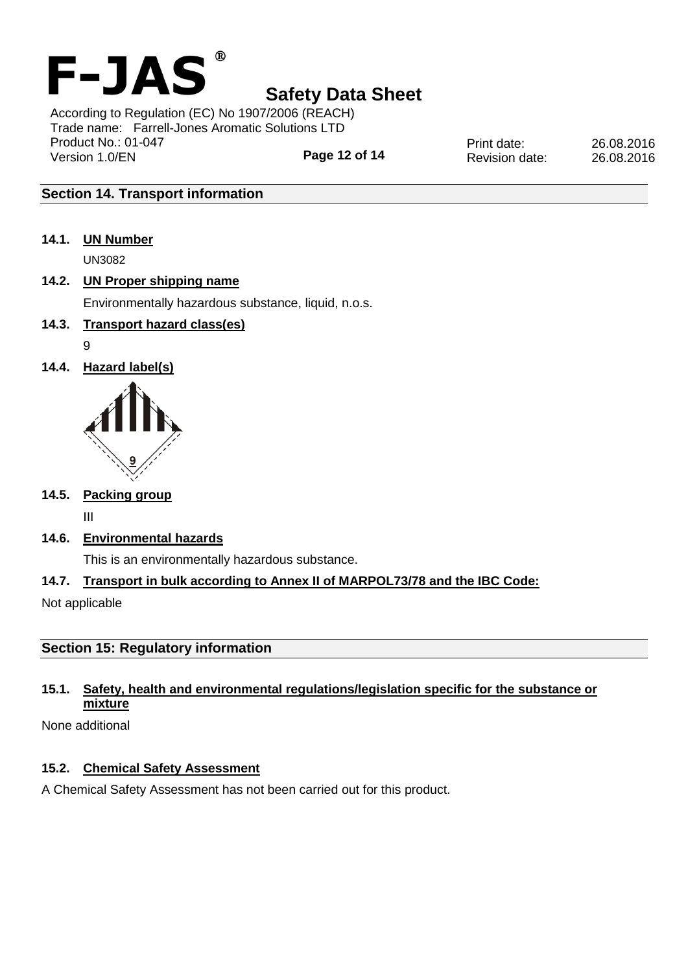

**Page 12 of 14** According to Regulation (EC) No 1907/2006 (REACH) Trade name: Farrell-Jones Aromatic Solutions LTD Product No.: 01-047 Version 1.0/EN

Print date: 26.08.2016 Revision date: 26.08.2016

## **Section 14. Transport information**

**14.1. UN Number**

UN3082

## **14.2. UN Proper shipping name**

Environmentally hazardous substance, liquid, n.o.s.

## **14.3. Transport hazard class(es)**

- 9
- **14.4. Hazard label(s)**



## **14.5. Packing group**

III

**14.6. Environmental hazards**

This is an environmentally hazardous substance.

## **14.7. Transport in bulk according to Annex II of MARPOL73/78 and the IBC Code:**

Not applicable

## **Section 15: Regulatory information**

## **15.1. Safety, health and environmental regulations/legislation specific for the substance or mixture**

None additional

## **15.2. Chemical Safety Assessment**

A Chemical Safety Assessment has not been carried out for this product.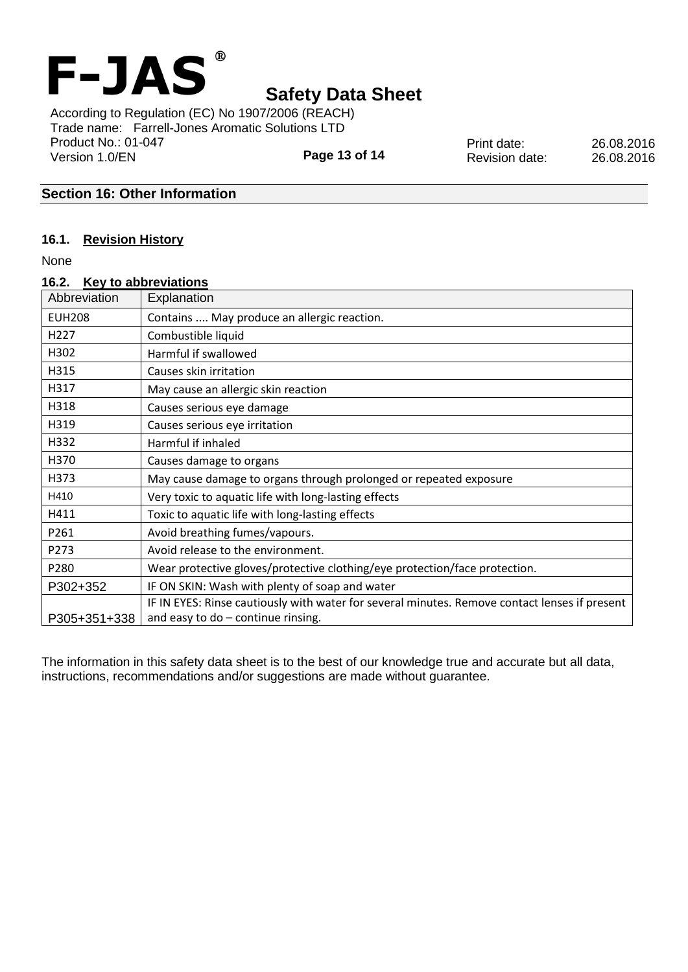

**Page 13 of 14** According to Regulation (EC) No 1907/2006 (REACH) Trade name: Farrell-Jones Aromatic Solutions LTD Product No.: 01-047 Version 1.0/EN

Print date: 26.08.2016 Revision date: 26.08.2016

## **Section 16: Other Information**

#### **16.1. Revision History**

None

| 16.2.            | Key to abbreviations                                                                          |
|------------------|-----------------------------------------------------------------------------------------------|
| Abbreviation     | Explanation                                                                                   |
| <b>EUH208</b>    | Contains  May produce an allergic reaction.                                                   |
| H <sub>227</sub> | Combustible liquid                                                                            |
| H302             | Harmful if swallowed                                                                          |
| H315             | Causes skin irritation                                                                        |
| H317             | May cause an allergic skin reaction                                                           |
| H318             | Causes serious eye damage                                                                     |
| H319             | Causes serious eye irritation                                                                 |
| H332             | Harmful if inhaled                                                                            |
| H370             | Causes damage to organs                                                                       |
| H373             | May cause damage to organs through prolonged or repeated exposure                             |
| H410             | Very toxic to aquatic life with long-lasting effects                                          |
| H411             | Toxic to aquatic life with long-lasting effects                                               |
| P261             | Avoid breathing fumes/vapours.                                                                |
| P273             | Avoid release to the environment.                                                             |
| P280             | Wear protective gloves/protective clothing/eye protection/face protection.                    |
| P302+352         | IF ON SKIN: Wash with plenty of soap and water                                                |
|                  | IF IN EYES: Rinse cautiously with water for several minutes. Remove contact lenses if present |
| P305+351+338     | and easy to $do$ - continue rinsing.                                                          |

The information in this safety data sheet is to the best of our knowledge true and accurate but all data, instructions, recommendations and/or suggestions are made without guarantee.